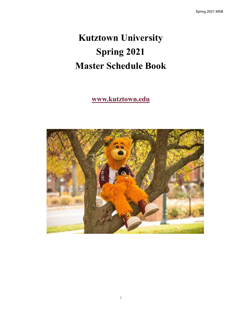# **Kutztown University Spring 2021 Master Schedule Book**

## **www.kutztown.edu**

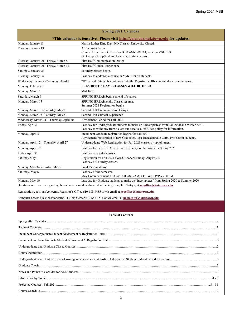| <b>Spring 2021 Calendar</b>                                                         |                                                                                                                                                                                  |  |  |  |  |  |  |  |
|-------------------------------------------------------------------------------------|----------------------------------------------------------------------------------------------------------------------------------------------------------------------------------|--|--|--|--|--|--|--|
| *This calendar is tentative. Please visit http://calendar.kutztown.edu for updates. |                                                                                                                                                                                  |  |  |  |  |  |  |  |
| Monday, January 18                                                                  | Martin Luther King Day -NO Classes -University Closed.                                                                                                                           |  |  |  |  |  |  |  |
| Tuesday, January 19                                                                 | ALL classes begin.<br>Clinical Experience Orientation 8:00 AM-1:00 PM, location MSU 183.<br>On Campus Drop/Add and Late Registration begins.                                     |  |  |  |  |  |  |  |
| Tuesday, January 20 - Friday, March 5                                               | First Half Communication Design.                                                                                                                                                 |  |  |  |  |  |  |  |
| Tuesday, January 20 - Friday, March 12                                              | First Half Clinical Experience.                                                                                                                                                  |  |  |  |  |  |  |  |
| Saturday, January 23                                                                | Saturday classes begin.                                                                                                                                                          |  |  |  |  |  |  |  |
| Tuesday, January 26                                                                 | Last day to add/drop a course in MyKU for all students.                                                                                                                          |  |  |  |  |  |  |  |
| Wednesday, January 27- Friday, April 2                                              | "W" period. Students must come into the Registrar's Office to withdraw from a course.                                                                                            |  |  |  |  |  |  |  |
| Monday, February 15                                                                 | PRESIDENT'S DAY - CLASSES WILL BE HELD                                                                                                                                           |  |  |  |  |  |  |  |
| Monday, March 1                                                                     | Mid Term.                                                                                                                                                                        |  |  |  |  |  |  |  |
| Saturday, March 6                                                                   | SPRING BREAK begins at end of classes.                                                                                                                                           |  |  |  |  |  |  |  |
| Monday, March 15                                                                    | <b>SPRING BREAK</b> ends. Classes resume.<br>Summer 2021 Registration begins.                                                                                                    |  |  |  |  |  |  |  |
| Monday, March 15-Saturday, May 8                                                    | Second Half Communication Design.                                                                                                                                                |  |  |  |  |  |  |  |
| Monday, March 15-Saturday, May 8                                                    | Second Half Clinical Experience.                                                                                                                                                 |  |  |  |  |  |  |  |
| Wednesday, March 31 - Thursday, April 30                                            | Advisement Period for Fall 2021.                                                                                                                                                 |  |  |  |  |  |  |  |
| Friday, April 2                                                                     | Last day for Undergraduate students to make up "Incompletes" from Fall 2020 and Winter 2021.<br>Last day to withdraw from a class and receive a "W". See policy for information. |  |  |  |  |  |  |  |
| Monday, April 5                                                                     | Incumbent Graduate registration begins for Fall 2021.<br>Advisement/registration of new Graduates, Post-Baccalaureate Certs, Prof Credit students.                               |  |  |  |  |  |  |  |
| Monday, April 12 - Thursday, April 27                                               | Undergraduate Web Registration for Fall 2021 classes by appointment.                                                                                                             |  |  |  |  |  |  |  |
| Monday, April 19                                                                    | Last day for Leave of Absence or University Withdrawals for Spring 2021                                                                                                          |  |  |  |  |  |  |  |
| Friday April 30                                                                     | Last day of regular classes.                                                                                                                                                     |  |  |  |  |  |  |  |
| Saturday May 1                                                                      | Registration for Fall 2021 closed. Reopens Friday, August 20.<br>Last day of Saturday classes.                                                                                   |  |  |  |  |  |  |  |
| Monday, May 3- Saturday, May 8                                                      | Final Examinations.                                                                                                                                                              |  |  |  |  |  |  |  |
| Saturday, May 8                                                                     | Last day of the semester.<br>May Commencement. COE & COLAS 9AM; COB & COVPA 2:30PM                                                                                               |  |  |  |  |  |  |  |
| Monday, May 10                                                                      | Last day for Graduate students to make up "Incompletes" from Spring 2020 & Summer 2020                                                                                           |  |  |  |  |  |  |  |

Questions or concerns regarding the calendar should be directed to the Registrar, Ted Witryk, at **[regoffice@kutztown.edu](mailto:regoffice@kutztown.edu)**.

Registration questions/concerns, Registrar's Office 610-683-4485 or via email at **[regoffice@kutztown.edu](mailto:regoffice@kutztown.edu)**.

Computer access questions/concerns, IT Help Center 610-683-1511 or via email at **[helpcenter@kutztown.edu](mailto:helpcenter@kutztown.edu?subject=%20)**.

#### **Table of Contents**

| $\boxed{\text{Table of Contents.}}$ |
|-------------------------------------|
|                                     |
|                                     |
|                                     |
|                                     |
|                                     |
|                                     |
|                                     |
|                                     |
|                                     |
|                                     |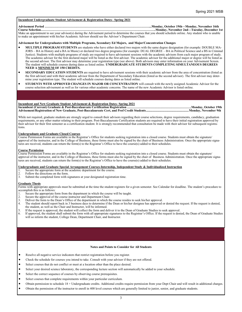#### **Incumbent Undergraduate Student Advisement & Registration Dates– Spring 2021**

#### **Advisement Period ………………………………………………………………………………………...Monday, October 19th—Monday, November 16th Course Selection……………………………………………………………………………………………….Monday, November 2nd—Tuesday, December 1st**

Make an appointment to see your advisor(s) during the Advisement period to determine the courses that you should schedule online. Any student who is unable to make an appointment with his/her Academic Advisor should see the Advisor's Department Chair.

#### **Advisement for Undergraduates with Multiple Programs, Secondary Ed Majors, and Major/Concentration Changes**

- **MULTIPLE PROGRAM STUDENTS** are students who have either declared two majors with the same degree designation (for example: DOUBLE MA-JORS – BA in History and a BA in Music) or declared two degree programs (for example: DUAL DEGREE – BA in Political Science and a BS in Criminal Justice). Students with multiple programs of study are required to have advisement sessions with the academic advisors from each major program of study. The academic advisor for the first declared major will be listed as the first advisor. The academic advisor for the additional major or degree will be listed as the second advisor. The first advisor may determine your registration type (see above). Both advisors may enter information on your Advisement Screen. The student will schedule courses during dates as listed online. **UNDERGRADUATE STUDENTS COMPLETING SIMULTANEOUS DEGREES NEED A MINIMUM OF 150 CREDITS.**
- **SECONDARY EDUCATION STUDENTS** are required to have advisement sessions with their academic advisor from the area of concentration (listed as the first advisor) and with their academic advisor from the Department of Secondary Education (listed as the second advisor). The first advisor may determine your registration type. The student will schedule courses during dates as listed online.
- **STUDENTS WITH APPROVED CHANGES IN MAJOR OR CONCENTRATION** will consult with the newly assigned Academic Advisor for the course selection advisement as well as for various other academic concerns. The name of the new Academic Advisor is listed online.

#### **Incumbent and New Graduate Student Advisement & Registration Dates- Spring 2021**

**Incumbent (Current) Graduate & Post-Baccalaureate Certification Registration …………………………………………………….Monday, October 19th Advisement/Registration of New Graduate, Post-Baccalaureate Cert, and Prof Credit Students.....................................................Monday, November 9th**

While not required, graduate students are strongly urged to consult their advisors regarding their course selections, degree requirements, candidacy, graduation requirements, or any other matter relating to their program. Post-Baccalaureate Certification students are required to have their initial registration approved by their advisor for their first semester as a certification student. It is strongly recommended that consultation be made with their advisor for subsequent registrations.

#### **Undergraduate and Graduate Closed Courses**

Course Permission Forms are available in the Registrar's Office for students seeking registration into a closed course. Students must obtain the signature/ approval of the instructor, and in the College of Business, these forms must also be signed by the chair of Business Administration. Once the appropriate signatures are received, students can return the form(s) to the Registrar's Office to have the course(s) added to their schedules.

#### **Course Permission**

Course Permission Forms are available in the Registrar's Office for students seeking registration into a closed course. Students must obtain the signature/ approval of the instructor, and in the College of Business, these forms must also be signed by the chair of Business Administration. Once the appropriate signatures are received, students can return the form(s) to the Registrar's Office to have the course(s) added to their schedules.

#### **Undergraduate and Graduate Special Arrangement Courses-Internship, Independent Study & Individualized Instruction**

- 1. Secure the appropriate form at the academic department for the course.<br>2. Follow the directions on the form.
- 2. Follow the directions on the form.<br>3. Submit the completed form with si
- Submit the completed form with signatures at your designated registration time.

#### **Graduate Thesis**

Forms with appropriate approvals must be submitted at the time the student registers for a given semester. See Calendar for deadline. The student's procedure to accomplish this is as follows:

- 1. Secure the appropriate form from the department in which the course will be taught.
- 2. Secure the approval of the course instructor and Department Chair.<br>3. Deliver the form to the Dean's Office of the department in which the
- 3. Deliver the form to the Dean's Office of the department in which the course resides to seek his/her approval.<br>4. The student should report back in 3 business days to determine if the Dean or his/her designee has approve
- The student should report back in 3 business days to determine if the Dean or his/her designee has approved or denied the request. If the request is denied, the student, as well as the Chair and Instructor, will be informed.
- 5. If the request is approved, the student will collect the form and deliver it to the Dean of Graduate Studies to seek approval.<br>6. If approved, the student shall submit the form with all appropriate signatures to the Reg
- 6. If approved, the student shall submit the form with all appropriate signatures to the Registrar's Office. If the request is denied, the Dean of Graduate Studies will so inform the student, College Dean, Department Chair, and Instructor.

#### **Notes and Points to Consider for All Students**

- Resolve all negative service indicators that restrict registration before you register.
- Check the schedule for courses you intend to take. Consult with your advisor if they are not offered.
- Select courses that do not conflict or meet at a location other than the place desired.
- Select your desired science laboratory, the corresponding lecture section will automatically be added to your schedule.
- Select the correct sequence of courses by observing course prerequisites.
- Select courses that complete requirements within your particular curriculum.
- Obtain permission to schedule 18 + Undergraduate credits. Additional credits require permission from your Dept Chair and will result in additional charges.
- Obtain the permission of the instructor to enroll in 400 level courses which are generally limited to junior, senior, and graduate students.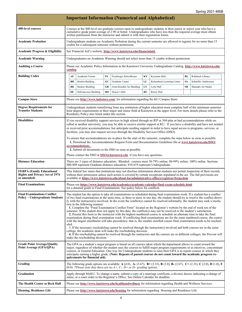| <b>Important Information (Numerical and Alphabetical)</b>                                |                                                                                                              |                                                                                                                                                                                                                                                                                                                                                                                                                                                                                                                                                                                                                                                                                                                                                                                                                                                                                                                                                                                                                                                                                                                                                                                                                                                                                                                                                                                                                                                         |                      |    |                                                                          |    |                                                                                                                              |           |                      |
|------------------------------------------------------------------------------------------|--------------------------------------------------------------------------------------------------------------|---------------------------------------------------------------------------------------------------------------------------------------------------------------------------------------------------------------------------------------------------------------------------------------------------------------------------------------------------------------------------------------------------------------------------------------------------------------------------------------------------------------------------------------------------------------------------------------------------------------------------------------------------------------------------------------------------------------------------------------------------------------------------------------------------------------------------------------------------------------------------------------------------------------------------------------------------------------------------------------------------------------------------------------------------------------------------------------------------------------------------------------------------------------------------------------------------------------------------------------------------------------------------------------------------------------------------------------------------------------------------------------------------------------------------------------------------------|----------------------|----|--------------------------------------------------------------------------|----|------------------------------------------------------------------------------------------------------------------------------|-----------|----------------------|
| <b>400-level courses</b>                                                                 |                                                                                                              | Courses at the 400-level are graduate courses open to undergraduate students in their junior or senior year who have a<br>cumulative grade point average of 2.90 or better. Undergraduates who have less than the required average must obtain<br>written permission from the instructor and submit it with their registration forms.                                                                                                                                                                                                                                                                                                                                                                                                                                                                                                                                                                                                                                                                                                                                                                                                                                                                                                                                                                                                                                                                                                                   |                      |    |                                                                          |    |                                                                                                                              |           |                      |
| <b>Academic Probation</b>                                                                |                                                                                                              | Undergraduate students on Academic Probation during the current semester are allowed to register for no more than 15<br>credits for a subsequent semester without permission.                                                                                                                                                                                                                                                                                                                                                                                                                                                                                                                                                                                                                                                                                                                                                                                                                                                                                                                                                                                                                                                                                                                                                                                                                                                                           |                      |    |                                                                          |    |                                                                                                                              |           |                      |
| <b>Academic Progress &amp; Eligibility</b>                                               |                                                                                                              | See Financial Aid's website, http://www.kutztown.edu/financialaid.                                                                                                                                                                                                                                                                                                                                                                                                                                                                                                                                                                                                                                                                                                                                                                                                                                                                                                                                                                                                                                                                                                                                                                                                                                                                                                                                                                                      |                      |    |                                                                          |    |                                                                                                                              |           |                      |
| Academic Warning                                                                         |                                                                                                              | Undergraduates on Academic Warning should not select more than 15 credits without permission.                                                                                                                                                                                                                                                                                                                                                                                                                                                                                                                                                                                                                                                                                                                                                                                                                                                                                                                                                                                                                                                                                                                                                                                                                                                                                                                                                           |                      |    |                                                                          |    |                                                                                                                              |           |                      |
| <b>Auditing a Course</b>                                                                 |                                                                                                              | Please see Academic Policy Information in the Kutztown University Undergraduate Catalog, http://www.kutztown.edu/<br>catalog.                                                                                                                                                                                                                                                                                                                                                                                                                                                                                                                                                                                                                                                                                                                                                                                                                                                                                                                                                                                                                                                                                                                                                                                                                                                                                                                           |                      |    |                                                                          |    |                                                                                                                              |           |                      |
| <b>Building Codes</b>                                                                    |                                                                                                              | AF                                                                                                                                                                                                                                                                                                                                                                                                                                                                                                                                                                                                                                                                                                                                                                                                                                                                                                                                                                                                                                                                                                                                                                                                                                                                                                                                                                                                                                                      | Academic Forum       | FS | Freyberger Schoolhouse                                                   | KΥ | Keystone Hall                                                                                                                | <b>RL</b> | Rohrbach Library     |
|                                                                                          |                                                                                                              | BН                                                                                                                                                                                                                                                                                                                                                                                                                                                                                                                                                                                                                                                                                                                                                                                                                                                                                                                                                                                                                                                                                                                                                                                                                                                                                                                                                                                                                                                      | Boehm Building       | GC | Graduate Center                                                          | LC | Rickenbach Learning Center                                                                                                   | <b>SA</b> | Schaeffer Auditorium |
|                                                                                          |                                                                                                              | BK                                                                                                                                                                                                                                                                                                                                                                                                                                                                                                                                                                                                                                                                                                                                                                                                                                                                                                                                                                                                                                                                                                                                                                                                                                                                                                                                                                                                                                                      | Beekey Building      | GR | Grim-Knedler Sci Building                                                | LY | Lytle Hall                                                                                                                   | SH        | Sharadin Art Studio  |
|                                                                                          |                                                                                                              | DF                                                                                                                                                                                                                                                                                                                                                                                                                                                                                                                                                                                                                                                                                                                                                                                                                                                                                                                                                                                                                                                                                                                                                                                                                                                                                                                                                                                                                                                      | DeFrancesco Building | HO | Honor's Hall                                                             | RS | Risley Hall                                                                                                                  |           |                      |
| <b>Campus Store</b>                                                                      |                                                                                                              | Please see http://www.kubstore.com/ for information regarding the KU Campus Store.                                                                                                                                                                                                                                                                                                                                                                                                                                                                                                                                                                                                                                                                                                                                                                                                                                                                                                                                                                                                                                                                                                                                                                                                                                                                                                                                                                      |                      |    |                                                                          |    |                                                                                                                              |           |                      |
| <b>Degree Requirements for</b><br><b>Transfer Students</b>                               |                                                                                                              | Undergraduate students transferring from any institution of higher education must complete half of the minimum semester<br>hour degree requirements in their major and minor field at Kutztown at the upper level. For more details please refer to the<br>Residency Policy also listed under this section.                                                                                                                                                                                                                                                                                                                                                                                                                                                                                                                                                                                                                                                                                                                                                                                                                                                                                                                                                                                                                                                                                                                                             |                      |    |                                                                          |    |                                                                                                                              |           |                      |
| <b>Disabilities</b>                                                                      |                                                                                                              | If you received disability support services in high school through an IEP or 504 plan or had accommodations while en-<br>rolled at another university, you may be able to receive similar support at KU. If you have a disability and have not needed<br>or received prior accommodations, but anticipate needing support in order to have equal access to programs, services, or<br>facilities, you may also request services through the Disability Services Office (DSO).<br>To ensure that accommodations are in place for the start of the semester, complete the steps below as soon as possible.<br>1. Download the Accommodations Request Form and Documentation Guidelines file at www.kutztown.edu/DSO/<br>accommodations.<br>2. Submit all documents to the DSO as soon as possible.<br>Please contact the DSO at $DSO(\hat{a})$ <b>kutztown.edu</b> if you have any questions.                                                                                                                                                                                                                                                                                                                                                                                                                                                                                                                                                              |                      |    |                                                                          |    |                                                                                                                              |           |                      |
| <b>Distance Education</b>                                                                |                                                                                                              | There are 3 types of distance education: Blended–courses meet 30-79% online; 80-99% online; 100% online. Sections<br>800-809 represent Graduate distance education; 810-819 represent Undergraduate.                                                                                                                                                                                                                                                                                                                                                                                                                                                                                                                                                                                                                                                                                                                                                                                                                                                                                                                                                                                                                                                                                                                                                                                                                                                    |                      |    |                                                                          |    |                                                                                                                              |           |                      |
| <b>FERPA (Family Educational</b><br><b>Rights and Privacy Act of 1974</b><br>as amended) |                                                                                                              | This federal law states that institutions may not disclose information about students nor permit inspection of their records<br>without their permission unless such action is covered by certain exceptions stipulated in the act. The full provisions are<br>available at https://www.kutztown.edu/about-ku/administrative-offices/registrar/ferpa.htm                                                                                                                                                                                                                                                                                                                                                                                                                                                                                                                                                                                                                                                                                                                                                                                                                                                                                                                                                                                                                                                                                                |                      |    |                                                                          |    |                                                                                                                              |           |                      |
| <b>Final Examinations</b>                                                                |                                                                                                              | Please see https://www.kutztown.edu/academics/academic-calendar/final-exam-schedule.html<br>for a detailed guide to Final Examinations. See policy below for conflicts.                                                                                                                                                                                                                                                                                                                                                                                                                                                                                                                                                                                                                                                                                                                                                                                                                                                                                                                                                                                                                                                                                                                                                                                                                                                                                 |                      |    |                                                                          |    |                                                                                                                              |           |                      |
| <b>Final Examinations Conflict</b><br><b>Policy – Undergraduate Students</b>             |                                                                                                              | The student has the option to take all examinations as scheduled during final examination week. If a student has a conflict<br>of two final examinations at the same time, or three or more in one day, the student should try to resolve the conflict direct-<br>ly with the instructor(s) involved. In the event the conflict(s) cannot be resolved informally, the student may seek a resolu-<br>tion in the following manner:<br>1. Complete the "Final Examination Conflict Form" located on the Registrar's website by the end of week ten of the<br>semester. If the student does not apply by this date, the conflict(s) may not be resolved to the student's satisfaction.<br>2. Present this form to the instructor with the highest numbered course to schedule an alternate time to take the final<br>examination during final examination week. If conflicting final examinations are for the same numbered course, the course<br>with the largest enrollment will take precedence; that is, the smaller enrolled course final examination needs to be resched-<br>uled.<br>3. If the necessary rescheduling cannot be resolved through the instructor(s) involved and both courses are in the same<br>college, the academic dean will make the rescheduling decision.<br>4. If the rescheduling cannot be resolved through the instructors and the courses are in different colleges, the Provost will<br>make the rescheduling decision. |                      |    |                                                                          |    |                                                                                                                              |           |                      |
| <b>Grade Point Average/Quality</b><br>Point Average (GPA/QPA)                            |                                                                                                              | The GPA in a student's major program is based on all courses taken which the department allows to count toward the<br>major, regardless of whether the student uses the courses to fulfill major program requirements or as electives, concomitant<br>courses, or General Education. One way for Undergraduate students to raise their GPA is to repeat courses in which they<br>anticipate earning a higher grade. (Note: Repeats of passed courses do not count toward the academic progress re-<br>quirements for financial aid).                                                                                                                                                                                                                                                                                                                                                                                                                                                                                                                                                                                                                                                                                                                                                                                                                                                                                                                    |                      |    |                                                                          |    |                                                                                                                              |           |                      |
| Grading                                                                                  |                                                                                                              |                                                                                                                                                                                                                                                                                                                                                                                                                                                                                                                                                                                                                                                                                                                                                                                                                                                                                                                                                                                                                                                                                                                                                                                                                                                                                                                                                                                                                                                         |                      |    | $(0.0)$ *Please note that there are no A+, C-, D+ or D– grading options. |    | The following grade options are available: A (4.0), A- (3.67), B+ (3.33), B (3.0), B- (2.67), C+ (2.33), C (2.0), D (1.0), F |           |                      |
| Graduation                                                                               |                                                                                                              | Apply through MyKU. To change a name, submit a copy of a marriage certificate, a divorce decree indicating a change of<br>name, or a court order to the Registrar's Office. See Online Calendar for deadline.                                                                                                                                                                                                                                                                                                                                                                                                                                                                                                                                                                                                                                                                                                                                                                                                                                                                                                                                                                                                                                                                                                                                                                                                                                           |                      |    |                                                                          |    |                                                                                                                              |           |                      |
| The Health Center at Beck Hall                                                           | Please see http://www.kutztown.edu/healthandwellness for information regarding Health and Wellness Services. |                                                                                                                                                                                                                                                                                                                                                                                                                                                                                                                                                                                                                                                                                                                                                                                                                                                                                                                                                                                                                                                                                                                                                                                                                                                                                                                                                                                                                                                         |                      |    |                                                                          |    |                                                                                                                              |           |                      |
| <b>Housing, Residence Life</b>                                                           |                                                                                                              |                                                                                                                                                                                                                                                                                                                                                                                                                                                                                                                                                                                                                                                                                                                                                                                                                                                                                                                                                                                                                                                                                                                                                                                                                                                                                                                                                                                                                                                         |                      |    |                                                                          |    | Please see http://www.kutztown.edu/housing for information regarding Housing and Residence Life.                             |           |                      |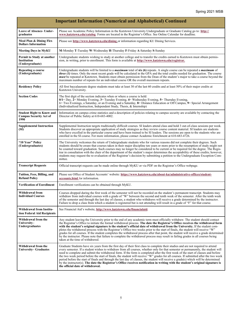| <b>Important Information (Numerical and Alphabetical) Continued</b>       |                                                                                                                                                                                                                                                                                                                                                                                                                                                                                                                                                                                                                                                                                                                                                                                                                                                                   |  |  |  |  |  |  |
|---------------------------------------------------------------------------|-------------------------------------------------------------------------------------------------------------------------------------------------------------------------------------------------------------------------------------------------------------------------------------------------------------------------------------------------------------------------------------------------------------------------------------------------------------------------------------------------------------------------------------------------------------------------------------------------------------------------------------------------------------------------------------------------------------------------------------------------------------------------------------------------------------------------------------------------------------------|--|--|--|--|--|--|
| Leave of Absence- Under-<br>graduates                                     | Please see Academic Policy Information in the Kutztown University Undergraduate or Graduate Catalog go to: http://<br>www.kutztown.edu/catalog. Forms are located in the Registrar's Office. See Online Calendar for deadline.                                                                                                                                                                                                                                                                                                                                                                                                                                                                                                                                                                                                                                    |  |  |  |  |  |  |
| Meal Plan & Dining Flex<br><b>Dollars Information</b>                     | Please see http://www.kutztown.edu/dining or information regarding KU Dining Services.                                                                                                                                                                                                                                                                                                                                                                                                                                                                                                                                                                                                                                                                                                                                                                            |  |  |  |  |  |  |
| <b>Meeting Days in MyKU</b>                                               | M-Monday T-Tuesday W-Wednesday H-Thursday F-Friday A-Saturday S-Sunday                                                                                                                                                                                                                                                                                                                                                                                                                                                                                                                                                                                                                                                                                                                                                                                            |  |  |  |  |  |  |
| Permit to Study at another<br>Institution<br>(Undergraduate)              | Undergraduate students wishing to study at another college and to transfer the credits earned to Kutztown must obtain permis-<br>sion, in writing, prior to enrollment. This form is available at http://www.kutztown.edu/registrar.                                                                                                                                                                                                                                                                                                                                                                                                                                                                                                                                                                                                                              |  |  |  |  |  |  |
| Repeating a course<br>(Undergraduate)                                     | Undergraduate students will be limited to a <i>maximum</i> total of six (6) repeats. A single course can be repeated a <i>maximum</i> of<br><i>three (3)</i> times. Only the most recent grade will be calculated in the GPA and the total credits needed for graduation. The course<br><i>must</i> be repeated at Kutztown. Students must obtain permission from the Dean of the student's major to take a course beyond the<br>maximum number of repeats for an individual course OR the overall maximum repeats.                                                                                                                                                                                                                                                                                                                                               |  |  |  |  |  |  |
| <b>Residency Policy</b>                                                   | All first baccalaureate degree students must take at least 30 of the last 60 credits and at least 50% of their major credits at<br>Kutztown University.                                                                                                                                                                                                                                                                                                                                                                                                                                                                                                                                                                                                                                                                                                           |  |  |  |  |  |  |
| <b>Section Codes</b>                                                      | The first digit of the section indicates when or where a course is held:<br>$0/1 =$ Day, $2 =$ Monday Evening, $3 =$ Tuesday Evening, $4 =$ Wednesday Evening, $5 =$ Thursday Evening,<br>6 Two Evenings, a Saturday, or an Evening and a Saturday, 8 = Distance Education or Off Campus, 9 = Special Arrangement<br>(Individualized Instruction, Independent Study, Thesis, & Internship)                                                                                                                                                                                                                                                                                                                                                                                                                                                                        |  |  |  |  |  |  |
| <b>Student Right to Know and</b><br><b>Campus Security Act of</b><br>1990 | Information on campus crime statistics and a description of policies relating to campus security are available by contacting the<br>Director of Public Safety at 610-683-4002.                                                                                                                                                                                                                                                                                                                                                                                                                                                                                                                                                                                                                                                                                    |  |  |  |  |  |  |
| <b>Supplemental Instruction</b><br>(SI)                                   | Supplemental Instruction targets traditionally difficult courses. SI leaders attend class and hold 3 out-of-class sessions per week.<br>Students discover an appropriate application of study strategies as they review course content material. SI leaders are students<br>who have excelled in the particular course and have been trained to be SI leaders. The sessions are open to the students who are<br>enrolled in the SI course. For more information, please contact Academic Enrichment at 610-683-4726.                                                                                                                                                                                                                                                                                                                                              |  |  |  |  |  |  |
| "10 Year" Policy<br>(Undergraduates)                                      | The University welcomes the return of Undergraduate students who for various reasons did not complete their degrees. Such<br>students should be aware that courses taken in their major discipline ten years or more prior to the resumption of study might not<br>be counted toward graduation. Such courses may no longer be considered to be current or be required for the degree. The Regis-<br>trar in consultation with the chair of the department of the student's major determines the acceptability of these credits; however,<br>students may request the re-evaluation of the Registrar's decision by submitting a petition to the Undergraduate Exception Com-<br>mittee.                                                                                                                                                                           |  |  |  |  |  |  |
| <b>Transcript Requests</b>                                                | Official transcript requests can be made online through MyKU or via PDF on the Registrar's Office webpage.                                                                                                                                                                                                                                                                                                                                                                                                                                                                                                                                                                                                                                                                                                                                                        |  |  |  |  |  |  |
| Tuition, Fees, Billing, and<br><b>Refund Policy</b>                       | Please see Office of Student Accounts' website: https://www.kutztown.edu/about-ku/administrative-offices/student-<br>accounts.html for information.                                                                                                                                                                                                                                                                                                                                                                                                                                                                                                                                                                                                                                                                                                               |  |  |  |  |  |  |
| <b>Verification of Enrollment</b>                                         | Enrollment verifications can be obtained through MyKU.                                                                                                                                                                                                                                                                                                                                                                                                                                                                                                                                                                                                                                                                                                                                                                                                            |  |  |  |  |  |  |
| Withdrawal from<br><b>Individual Courses</b>                              | Courses dropped during the first week of the semester will not be recorded on the student's permanent transcript. Students may<br>withdraw from individual courses with a grade of "W" between the second and tenth week of the semester. After the tenth week<br>of the semester and through the last day of classes, a student who withdraws will receive a grade determined by the instructor.<br>Failure to drop a class from which a student is registered but is not attending will result in a grade of "F" for that course.                                                                                                                                                                                                                                                                                                                               |  |  |  |  |  |  |
| <b>Withdrawal from Institu-</b><br>tion Federal Aid Recipients            | See Financial Aid's website, http://www.kutztown.edu/financialaid.                                                                                                                                                                                                                                                                                                                                                                                                                                                                                                                                                                                                                                                                                                                                                                                                |  |  |  |  |  |  |
| Withdrawal from the<br>University-<br>Undergraduates                      | Any student leaving the University prior to the end of any academic term must officially withdraw. The student should contact<br>the Registrar's Office to initiate the formal withdrawal process. The date the Registrar's Office receives the withdrawal form<br>with the student's original signature is the student's official date of withdrawal from the University. If the student com-<br>pletes the withdrawal process with the Registrar's Office two weeks prior to the start of finals, the student will receive "W"<br>grades for all courses. If the student completes the withdrawal process after that point, the student will receive a grade determined<br>by the instructor. Please note that failure to complete the withdrawal process may result in failing grades in all courses being<br>taken at the time of withdrawal.                 |  |  |  |  |  |  |
| Withdrawal from the<br>University– Graduates                              | Graduate Students have six years from the first day of their first class to complete their studies and are not required to attend<br>every semester. If a student wishes to withdraw from all courses, whether only for that semester or permanently, the student will<br>need to complete and submit the withdrawal form. If the form is completed after the first week of the start of classes and before<br>the two week period before the start of finals, the student will receive "W" grades for all courses. If submitted after the two week<br>period before the start of finals and through the last day of classes, the student will receive a grade(s) which will be determined<br>by the instructor(s). The date the Registrar's Office receives notification in writing with the student's original signature is<br>the official date of withdrawal. |  |  |  |  |  |  |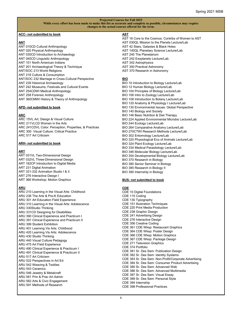#### **Projected Courses for Fall 2025**

**While every effort has been made to make this list as accurate and complete as possible, circumstances may require changes to the actual courses offered for the term.**

#### **ACC- not submitted to book**

#### **ANT**

ANT 010CD Cultural Anthropology ANT 020 Physical Anthropology ANT 030CD Introduction to Archaeology ANT 040CD Linguistic Anthropology ANT 101 North American Indians ANT 201 Archaeological Theory & Technique ANT/SOC 213 World Religions ANT 218 Culture & Consumption ANT/SOC 232 Marriage in Cross-Cultural Perspective ANT 239 Historical Archaeology ANT 242 Museums, Festivals and Cultural Events ANT 254CDWI Medical Anthropology ANT 258 Forensic Anthropology ANT 360CMWI History & Theory of Anthropology

#### **APD- not submitted to book**

#### **ARC**

ARC 15VL Art, Design & Visual Culture ARC 211VLCD Women in the Arts ARC 241CDVL Color: Perception, Properties, & Practices ARC 300 Visual Culture: Critical Practice ARC 517 Art Criticism

#### **ARH- not submitted to book**

#### **ART**

ART 031VL Two-Dimensional Design ART 032VL Three-Dimensional Design ART 182CP Introduction to Digital Media ART 231 Digital Animation ART 331-332 Animation Studio I & II ART 276 Interactive Design I ART 366 Workshop: Motion Graphics

### **ARU**

ARU 210 Learning in the Visual Arts: Childhood ARU 236 The Arts & Pre-K Education ARU 301 Art Education Field Experience ARU 310 Learning in the Visual Arts: Adolescence ARU 330Studio Thinking ARU 331CD Designing for Disabilities ARU 390 Clinical Experience and Practicum I ARU 391 Clinical Experience and Practicum II ARU 399 Student Exhibition ARU 401 Learning Vis Arts: Childhood ARU 420 Learning Vis Arts: Adolescence ARU 430 Studio Thinking ARU 440 Visual Culture Pedagogy ARU 475 Art Field Experience ARU 490 Clinical Experience & Practicum I ARU 491 Clinical Experience & Practicum II ARU 517 Art Criticism ARU 522 Perspectives in Art Ed ARU 542 Weaving & Textiles ARU 543 Ceramics ARU 546 Jewelry & Metalcraft ARU 561 Prin & Prac Art Admin ARU 562 Arts & Civic Engagement ARU 591 Methods of Research

## **AST**

- AST 16 Core to the Cosmos: Contribs of Women to AST AST 030QL Mission to the Planets Lecture/Lab AST 42 Stars, Galaxies & Black Holes AST 140QL Planetary Science Lecture/Lab AST 240 The Planetarium AST 242 Exoplanets Lecture/Lab AST 342 Astrophysics AST 350 Practical Astronomy AST 370 Research in Astronomy **BIO** BIO 10 Introduction to Biology Lecture/Lab BIO 12 Human Biology Lecture/Lab BIO 104 Principles of Biology Lecture/Lab BIO 106 Intro to Zoology Lecture/Lab BIO 108 Introduction to Botany Lecture/Lab BIO 120 Anatomy & Physiology I Lecture/Lab
- BIO 130 Environmental Issues: Global Perspective
- BIO 140 Biology and Society
- BIO 146 Basic Nutrition & Diet Therapy
- BIO 224 Applied Environmental Microbio Lecture/Lab
- BIO 244 Ecology Lecture/Lab
- BIO 264 Comparative Anatomy Lecture/Lab
- BIO 270CTWI Research Methods Lecture/Lab BIO 302 Entomology Lecture/Lab
- BIO 320 Physiological Eco of Animals Lecture/Lab
- BIO 324 Plant Ecology Lecture/Lab
- BIO 334 Medical Parasitology Lecture/Lab
- BIO 346 Molecular Biology Lecture/Lab
- BIO 354 Developmental Biology Lecture/Lab
- BIO 370 Research in Biology
- BIO 380 Senior Seminar in Biology
- BIO 385 Research in Biology II
- BIO 390 Internship in Biology

#### **BUS- not submitted to book**

#### **CDE**

CDE 10 Digital Foundations CDE 115 Coding CDE 130 Typography CDE 151 Illustration Techniques CDE 220 Print Media Production CDE 238 Graphic Design CDE 241 Advertising Design CDE 276 Interactive Design CDE 356 Creative Coding CDE 361 CDE Wksp: Restaurant Graphics CDE 364 CDE Wksp: Poster Design CDE 366 CDE Wksp: Motion Graphics CDE 367 CDE Wksp: Package Design CDE 271 Television Graphics CDE 374 Portfolio CDE 381 Sr. Des Sem: Publication Design CDE 382 Sr. Des Sem: Identity Systems CDE 383 Sr. Des Sem: Non-Profit/Corporate Advertising CDE 384 Sr. Des Sem: Consumer Product Advertising CDE 385 Sr. Des Sem: Advanced Web CDE 386 Sr. Des Sem: Advanced Multimedia CDE 387 Sr. Des Sem: Visual Essay CDE 389 Sr. Des Sem: Personal Style CDE 394 Internship CDE 398 Professional Practices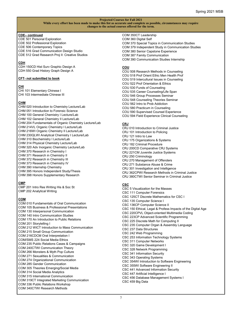#### **CDE– continued**

CDE 501 Personal Exploration CDE 502 Professional Exploration CDE 506 Contemporary Topics CDE 516 Grad Communication Design Studio CDE 512 Grad Research Proj II: Creative Studios

## **CDH**

CDH 150CD Hist Surv Graphic Design A CDH 550 Grad History Graph Design A

#### **CFT- not submitted to book**

#### **CHI**

CHI 101 Elementary Chinese I CHI 103 Intermediate Chinese III

### **CHM**

CHM 020 Introduction to Chemistry Lecture/Lab CHM 051 Introduction to Forensic Science CHM 100 General Chemistry I Lecture/Lab CHM 102 General Chemistry II Lecture/Lab CHM 204 Fundamentals of Organic Chemistry Lecture/Lab CHM 214VL Organic Chemistry I Lecture/Lab CHM 216WI Organic Chemistry II Lecture/Lab CHM 230QLWI Analytical Chemistry I Lecture/Lab CHM 310 Biochemistry I Lecture/Lab CHM 314 Physical Chemistry Lecture/Lab CHM 320 Adv Inorganic Chemistry Lecture/Lab CHM 370 Research in Chemistry I CHM 371 Research in Chemistry II CHM 372 Research in Chemistry III CHM 373 Research in Chemistry IV CHM 390 Internship Chemistry CHM 395 Honors Independent Study/Thesis CHM 398 Honors Supplementary Research

### **CMP**

CMP 201 Intro Res Writing His & Soc St CMP 202 Analytical Writing

## **COM**

COM 010 Fundamentals of Oral Communication COM 105 Business & Professional Presentations COM 130 Interpersonal Communication COM 140 Intro Communication Studies COM 170 An Introduction to Public Relations COM 201 Storytelling I COM 212 WICT Introduction to Mass Communication COM 215 Small Group Communication COM 216CDCM Oral Interpretation I COM/SMS 224 Social Media Ethics COM 235 Public Relations Cases & Campaigns COM 240CTWI Communication Theory COM 266 Monsters & Myth Pop Culture COM 271 Sexualities & Communication COM 274 Organizational Communication COM 285 Gender Communication COM 305 Theories Emerging/Social Media COM 314 Social Media Analytics COM 315 International Communication COM 319CT Integrated Marketing Communication COM 336 Public Relations Workshop COM 340CTWI Research Methods

COM 350CT Leadership COM 360 Digital Self COM 370 Special Topics in Communication Studies COM 379 Independent Study in Communication Studies COM 380 Senior Capstone Experience COM 387 Family Communication COM 390 Communication Studies Internship

## **COU**

- COU 508 Research Methods in Counseling COU 518 Prof Orient Ethic Men Health Prof COU 519 Intercultural Issues in Counseling COU 522 Prof Orientation & Ethics COU 530 Funds of Counseling COU 535 Career Counseling/Life Span COU 546 Group Processes Seminar COU 548 Counseling Theories Seminar COU 562 Intro to Prob Addiction COU 580 Practicum in Counseling COU 590 Supervised Counsel Experience
- COU 594 Field Experience Clinical Counseling

## **CRJ**

- CRJ 010 Introduction to Criminal Justice
- CRJ 101 Introduction to Policing
- CRJ 121 Intro to Law CRJ 175 Organizations & Systems
- CRJ 182 Criminal Procedure
- CRJ 200CD Comparative CRJ Systems
- CRJ 221CM Juvenile Justice Systems
- CRJ 250 Criminology
- CRJ 270 Management of Offenders
- CRJ 271 Substance Abuse & Crime
- CRJ 301 Investigation and Intelligence
- CRJ 362CPWI Research Methods in Criminal Justice
- CRJ 380CTWI Senior Seminar in Criminal Justice

## **CSC**

CSC 5 Visualization for the Masses CSC 111 Computer Forensics CSC 125CT Discrete Mathematics for CSC I CSC 135 Computer Science I CSC 136CP Computer Science II CSC 150 Ethical, Legal & Profess Impacts of the Digital Age CSC 220CPVL Object-oriented Multimedia Coding CSC 223CP Advanced Scientific Programming CSC 225 Discrete Math for Computing II CSC 235 Computer Organ & Assembly Language CSC 237 Data Structures CSC 242 Web Programming CSC 253 Information Technology Systems CSC 311 Computer Networks CSC 320 Game Development I CSC 328 Network Programming CSC 341 Information Security CSC 343 Operating Systems CSC 354WI Introduction to Software Engineering CSC 355WI Software Engineering II CSC 441 Advanced Information Security CSC 447 Artificial Intelligence I CSC 456 Database Management Systems I CSC 459 Big Data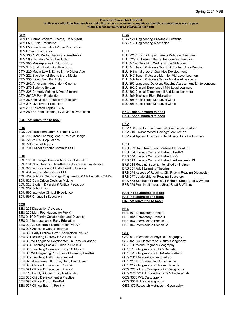### **CTM**

- CTM 010 Introduction to Cinema, TV & Media CTM 050 Audio Production
- CTM 055 Fundamentals of Video Production
- CTM 070WI Scriptwriting
- CTM 130CTVL Media Theory and Aesthetics
- CTM 205 Narrative Video Production
- CTM 206 Masterpieces in Film History
- CTM 218 Studio Production Practicum
- CTM 220 Media Law & Ethics in the Digital Age
- CTM 222 Evolution of Sports & the Media
- CTM 255 Video Field Production
- CTM 262 American Independent Cinema
- CTM 270 Script to Screen
- CTM 325 Comedy Writing & Prod Sitcoms
- CTM 365CP Post-Production
- CTM 369 Field/Post Production Practicum
- CTM 375 Live Event Production
- CTM 370 Selected Topics CTM
- CTM 380 Sr. Sem Cinema, TV & Media Production

#### **ECO- not submitted to book**

## **EDD**

- EDD 701 Transform Learn & Teach P & PP EDD 702 Trans Learning Mod & Instruct Design
- EDD 720 At Risk Populations
- EDD 724 Special Topics
- EDD 791 Leader Scholar Communities I

## **EDU**

- EDU 100CT Perspectives on American Education
- EDU 101CTWI Teaching Pre-K-8: Exploration & Investigation
- EDU 326 Introduction to Middle Level Education
- EDU 434 Instruct Methods for ELL
- EDU 452 Science, Technology, Engineering & Mathematics Ed Ped
- EDU 526 Data Driven Decision Making
- EDU 528 Student Diversity & Critical Pedagogy
- EDU 562 School Law
- EDU 592 Intensive Clinical Experience
- EDU 597 Change in Education

## **EEU**

EEU 202 Disposition/Advocacy EEU 209 Math Foundations for Pre-K-1 EEU 211CD Family Collaboration and Diversity EEU 215 Introduction to Early Education EEU 220VL Children's Literature for Pre-K-4 EEU 225 Assess I: Obs. & Informal EEU 300 Early Literacy Dev & Acquisition Pre-K-1 EEU 301Teaching Literacy in Grades 2-4 EEU 303WI Language Development in Early Childhood EEU 304 Teaching Social Studies in Pre-K-4 EEU 305 Teaching Science in Early Childhood EEU 306WI Integrating Principles of Learning Pre-K-4 EEU 309 Teaching Math in Grades 2-4 EEU 325 Assessment II: Form, Sum, Diag, Bench EEU 390 Clinical Experience I Pre-K-4 EEU 391 Clinical Experience II Pre-K-4 EEU 415 Family & Community Partnership EEU 505 Child Development & Practice EEU 596 Clinical Expr I: Pre-K-4 EEU 597 Clinical Expr II: Pre-K-4

## **EGR**

EGR 121 Engineering Drawing & Lettering EGR 130 Engineering Mechanics

#### **ELU**

ELU 221VL Lit for Upper Elem & Mid-Level Learners ELU 325 Diff Instruct: Key to Responsive Teaching ELU 342WI Teaching Writing at the Mid-Level ELU 344 Teach & Assess Soc St & Content Area Reading ELU 346WI Mid-Level Cognitive Development ELU 347 Teach & Assess Math for Mid-Level Learners ELU 349 Teach & Assess Sci for Mid-Level Learners ELU 353 Language Develop, Reading Assessment & Interventions ELU 392 Clinical Experience I Mid-Level Learners ELU 393 Clinical Experience II Mid-Level Learners ELU 569 Topics in Elem Education ELU 595 Spec Teach Mid-Level Clin I ELU 596 Spec Teach Mid-Level Clin II

#### **ENG - not submitted to book ENU - not submitted to book**

#### **ENV**

ENV 100 Intro to Environmental Science Lecture/Lab ENV 210 Environmental Geology Lecture/Lab ENV 224 Applied Environmental Microbiology Lecture/Lab

## **ERS**

ERS 502 Sem: Res Found Pertinent to Reading ERS 504 Literacy Curr and Instruct: PreK-3 ERS 506 Literacy Curr and Instruct: 4-8 ERS 513 Literacy Curr and Instruct: Adolescent- HS ERS 514 Reading Spec & Intensified Lit Instruct ERS 531 Adult Learning Theories ERS 574 Assess of Reading: Clin Prac in Reading Diagnosis ERS 577 Leadership for Reading Educators ERS 578 Sch Based Prac in Lit Instruct: Strug Read & Writers ERS 579 Prac in Lit Insruct; Strug Read & Writers

## **FAR- not submitted to book**

**FAS- not submitted to book FIN- not submitted to book**

### **FRE**

- FRE 101 Elementary French I
- FRE 102 Elementary French II FRE 103 Intermediate French III
- FRE 104 Intermediate French IV

- **GEG** GEG 010 Elements of Physical Geography GEG 020CD Elements of Cultural Geography GEG 101 World Regional Geography GEG 110 Geography of US & Canada GEG 120 Geography of Sub-Sahara Africa GEG 204 Meteorology Lecture/Lab GEG 210 Environmental Conservation GEG 212 Geography of Natural Hazards GEG 223 Intro to Transportation Geography GEG 274CPQL Introduction to GIS Lecture/Lab GEG 330CPVL Cartography GEG 335 Political Geography
- GEG 375 Research Methods in Geography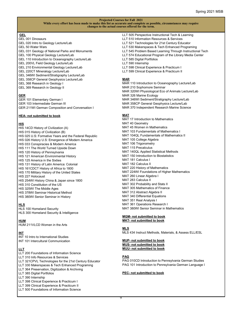#### **GEL**

- GEL 001 Dinosaurs
- GEL 020 Intro to Geology Lecture/Lab
- GEL 50 Water Wars
- GEL 031 Geology of National Parks and Monuments
- GEL 100 Physical Geology Lecture/Lab
- GEL 110 Introduction to Oceanography Lecture/Lab
- GEL 200VL Field Geology Lecture/Lab
- GEL 210 Environmental Geology Lecture/Lab
- GEL 220CT Mineralogy Lecture/Lab
- GEL 346WI Sediment/Stratigraphy Lecture/Lab
- GEL 358CP General Geophysics Lecture/Lab
- GEL 368 Research in Geology I
- GEL 369 Research in Geology II

## **GER**

GER 101 Elementary German I GER 103 Intermediate German III GER 211WI German Composition and Conversation I

#### **HEA- not submitted to book**

## **HIS**

- HIS 14CD History of Civilization (A)
- HIS 015 History of Civilization (B)
- HIS 025 U.S: Formative Years and the Federal Republic
- HIS 026 History U.S: Emergence of Modern America
- HIS 033 Conspiracies & Modern America
- HIS 111 The World Turned Upside Down
- HIS 120 History of Pennsylvania
- HIS 121 American Environmental History
- HIS 125 America in the Sixties
- HIS 131 History of Latin America: Colonial
- HIS 161CDCT History of Africa to 1800
- HIS 170 Military History of the United States
- HIS 227 Holocaust
- HIS 254WI History China & Japan since 1800
- HIS 310 Constitution of the US
- HIS 325WI The Middle Ages
- HIS 378WI Seminar Historical Method
- HIS 380WI Senior Seminar in History

## **HLS**

HLS 100 Homeland Security HLS 300 Homeland Security & Intelligence

### **HUM**

HUM 211VLCD Women in the Arts

## **INT**

INT 10 Intro to International Studies INT 101 Intercultural Communication

## **LLT**

- LLT 200 Foundations of Information Science LLT 310 Info Resources & Services LLT 321CPVL Technologies for the 21st Century Educator LLT 330 Makerspaces & Tech Enhanced Programing LLT 364 Preservation, Digitization & Archiving LLT 385 Digital Portfolios LLT 390 Internship LLT 398 Clinical Experience & Practicum I
- LLT 399 Clinical Experience & Practicum II
- LLT 500 Foundations of Information Science
- LLT 505 Perspective Instructional Tech & Learning
- LLT 510 Information Resources & Services
- LLT 521 Technologies for 21st Century Educator
- LLT 530 Makerspaces & Tech Enhanced Programing
- LLT 545 Problem Based Learning Through Instructional Tech
- LLT 574 Educational Program of the Library Media Center
- LLT 585 Digital Portfolios
- LLT 590 Internship
- LLT 598 Clinical Experience & Practicum I LLT 599 Clinical Experience & Practicum II

### **MAR**

MAR 110 Introduction to Oceanography Lecture/Lab MAR 210 Sophomore Seminar MAR 320WI Physiological Eco of Animals Lecture/Lab MAR 326 Marine Ecology MAR 346WI Sediment/Stratigraphy Lecture/Lab MAR 358CP General Geophysics Lecture/Lab MAR 370 Independent Research Marine Science

#### **MAT**

- MAT 17 Introduction to Mathematics
- MAT 40 Geometry
- MAT 45 Women in Mathematics
- MAT 103 Fundamentals of Mathematics I
- MAT 104QL Fundamentals of Mathematics II
- MAT 105 College Algebra
- MAT 106 Trigonometry
- MAT 115 Precalculus
- MAT 140QL Applied Statistical Methods
- MAT 150 Introduction to Biostatistics
- MAT 181 Calculus I MAT 182 Calculus II
- 
- MAT 220 History of Mathematics
- MAT 224WI Foundations of Higher Mathematics
- MAT 260 Linear Algebra I
- MAT 283 Calculus II
- MAT 302 Probability and Stats II
- MAT 305 Mathematics of Finance
- MAT 312 Abstract Algebra II
- MAT 340 Differential Equations
- MAT 351 Real Analysis I
- MAT 361 Operations Research I MAT 380WI Senior Seminar in Mathematics

#### **MGM- not submitted to book MKT- not submitted to book**

#### **MLS**

MLS 434 Instruct Methods, Materials, & Assess ELL/ESL

#### **MUP- not submitted to book MUS- not submitted to book MUU- not submitted to book**

#### **PAG**

PAG 010CD Introduction to Pennsylvania German Studies PAG 101 Introduction to Pennsylvania German Language I

#### **PEC- not submitted to book**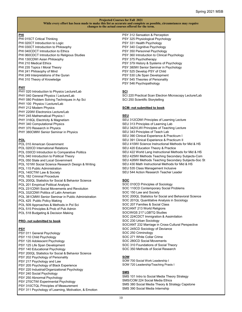#### **PHI**

- PHI 015CT Critical Thinking PHI 020CT Introduction to Logic PHI 030CT Introduction to Philosophy PHI 040CDCT Introduction to Ethics PHI 060CDCT Introduction to Religious Studies PHI 130CDWI Asian Philosophy PHI 210 Medical Ethics PHI 235 Topics I Moral Theory PHI 241 Philosophy of Mind PHI 249 Interpretations of the Quran
- PHI 310 Theory of Knowledge

#### **PHY**

- PHY 020 Introduction to Physics Lecture/Lab PHY 040 General Physics I Lecture/Lab
- PHY 080 Problem Solving Techniques in Ap Sci
- PHY 100 Physics I Lecture/Lab
- PHY 212 Modern Physics
- PHY 220WI Electronics Lecture/Lab
- PHY 245 Mathematical Physics I
- PHY 316QL Electricity & Magnetism
- PHY 340 Computational Physics
- PHY 370 Research in Physics
- PHY 380CMWI Senior Seminar in Physics

## **POL**

- POL 010 American Government POL 020CD International Relations POL 030CD Introduction to Comparative Politics POL 040 Introduction to Political Theory POL 050 State and Local Government POL 101WI Social Science Research Design & Writing POL 115 Public Administration POL 140CTWI Law & Society POL 182 Criminal Procedure POL 200QL Statistics for Social & Behavior Science POL 201 Empirical Political Analysis POL 231CDWI Social Movements and Revolution POL 332CDWI Politics of Latin American POL 381CMWI Senior Seminar in Public Administration POL 425 Public Policy Making POL 509 Approaches & Methods in Pol Sci POL 515 Principles & Prob of Pub Admin
- POL 518 Budgeting & Decision Making

#### **PRO- not submitted to book**

#### **PSY**

PSY 011 General Psychology PSY 110 Child Psychology PSY 120 Adolescent Psychology PSY 125 Life Span Development PSY 140 Educational Psychology PSY 200QL Statistics for Social & Behavior Science PSY 202 Psychology of Personality PSY 217 Psychology and Law PSY 205 Psychology of Black Experience PSY 220 Industrial/Organizational Psychology PSY 240 Social Psychology PSY 250 Abnormal Psychology PSY 270CTWI Experimental Psychology PSY 310CTQL Principles of Measurement PSY 311 Psychology of Learning, Motivation, & Emotion

PSY 312 Sensation & Perception PSY 325 Physiological Psychology PSY 331 Health Psychology PSY 340 Cognitive Psychology PSY 350 Personnel Psychology PSY 360 Introduction to Clinical Psychology PSY 375 Psychotherapy PSY 379 History & Systems of Psychology PSY 380WI Senior Seminar in Psychology PSY 525 Develop PSY of Child PSY 530 Life Span Development PSY 545 Theories of Personality PSY 546 Psychopathology

## **SCI**

SCI 220 Practical Scan Electron Microscopy Lecture/Lab SCI 250 Scientific Storytelling

#### **SCM- not submitted to book**

#### **SEU**

SEU 312CDWI Principles of Learning Lecture SEU 313 Principles of Learning Lab SEU 342VLWI Principles of Teaching Lecture SEU 343 Principles of Teach Lab SEU 390 Clinical Experience & Practicum I SEU 391 Clinical Experience & Practicum II SEU 410WI Science Instructional Methods for Mid & HS SEU 420 Education Theory & Practice SEU 422 World Lang Instructional Methods for Mid & HS SEU 425WI Methods Teaching Secondary Subjects-Com SEU 426WI Methods Teaching Secondary Subjects-Soc St SEU 430 Math Instructional Methods for Mid & HS SEU 535 Class Management Inclusive SEU 544 Action Research Teacher Leader

#### **SOC**

SOC 010CD Principles of Sociology SOC 110CD Contemporary Social Problems SOC 150 Law and Society SOC 200QL Statistics for Social and Behavioral Science SOC 201QL Quantitative Analysis in Sociology SOC 207 Families & Social Class SOC/ANT 213 World Religions SOC/WGS 217 LGBTQ Studies SOC 224CDCT Immigration & Assimilation SOC 230 Urban Sociology SOC/ANT 232 Marriage in Cross-Cultural Perspective SOC 245CD Sociology of Deviance SOC 250 Criminology SOC 271 White Collar Crime SOC 280CD Social Movements SOC 310 Foundations of Social Theory SOC 350 Methods of Social Research

#### **SOW**

SOW 700 Social Work Leadership I SOW 720 Leadership/Teaching Praxis I

#### **SMS**

SMS 101 Intro to Social Media Theory Strategy SMS/COM 224 Social Media Ethics SMS 380 Social Media Theory & Strategy Capstone SMS 390 Social Media Internship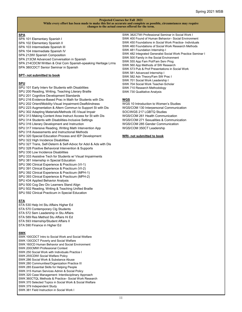### **SPA**

SPA 101 Elementary Spanish I SPA 102 Elementary Spanish II

SPA 103 Intermediate Spanish III

SPA 104 Intermediate Spanish IV

SPA 212WI Spanish Composition

SPA 213CM Advanced Conversation in Spanish

SPA 214CDCM Written & Oral Com Spanish-speaking Heritage Lrrns SPA 380CDCT Senior Seminar in Spanish

**SPT- not submitted to book**

## **SPU**

SPU 101 Early Interv for Students with Disabilities

SPU 200 Reading, Writing, Teaching Literary Braille

SPU 201 Cognitive Development Standards

SPU 216 Evidence-Based Prac in Math for Students with Dis

- SPU 202 Orient/Mobility-Visual Impairment-Deafblindness
- SPU 223 Augmentation & Altern Commun to Support St with Dis

SPU 302 Adapting Materials/Methods I/E-Visual Impair

SPU 313 Making Content Area Instruct Access for St with Dis

SPU 314 Students with Disabilities-Inclusive Settings

- SPU 316 Literary Development and Instruction
- SPU 317 Intensive Reading, Writing Math Intervention App

SPU 318 Assessments and Instructional Methods

- SPU 320 Special Education Process and IEP Development
- SPU 322 High Incidence Disabilities
- SPU 327 Trans, Self-Determ & Self-Advoc for Adol & Ads with Dis
- SPU 328 Positive Behavioral Intervention & Supports
- SPU 330 Low Incidence Disabilities
- SPU 333 Assistive Tech for Students w/ Visual Impairments
- SPU 381 Internship in Special Education

SPU 390 Clinical Experience & Practicum (VI-1)

SPU 391 Clinical Experience & Practicum (VI-2)

- SPU 392 Clinical Experience & Practicum (MPH-1)
- SPU 393 Clinical Experience & Practicum (MPH-2)
- SPU 434 Applied Behavior Analysis
- SPU 500 Cog Dev Div Learners Stand Align
- SPU 502 Reading, Writing & Teaching Unified Braille
- SPU 592 Clinical Practicum in Special Education

## **STA**

STA 530 Help Int Stu Affairs Higher Ed STA 570 Contemporary Clg Students STA 572 Sem Leadership in Stu Affairs STA 589 Res Method Stu Affairs Hi Ed STA 593 Internship/Student Affairs II STA 590 Finance in Higher Ed

## **SWK**

SWK 100CDCT Intro to Social Work and Social Welfare SWK 130CDCT Poverty and Social Welfare SWK 160CD Human Behavior and Social Environment SWK 200CMWI Professional Context SWK 250 Social Work with Individuals Practice I SWK 255CDWI Social Welfare Policy SWK 286 Social Work & Substance Abuse SWK 280 Communities/Organization Practice III SWK 285 Essential Skills for Helping People SWK 315 Human Services Admin & Social Policy SWK 320 Case Management: Interdisciplinary Approach SWK 360CTQL Methods & Practice– Social Work Research

- SWK 370 Selected Topics in Social Work & Social Welfare
- SWK 379 Independent Study
- SWK 381 Field Instruction in Social Work I

SWK 382CTWI Professional Seminar in Social Work I SWK 400 Found of Human Behavior– Social Environment SWK 450 Foundations in Social Work Practice- Individuals SWK 460 Foundations of Social Work Research Methods SWK 481 Foundation Internship I SWK 482 Integrated Generalist Social Work Practice Seminar I SWK 500 Family in the Social Environment SWK 555 App Fam Pol/Fam Serv Prog SWK 560 App Methods of SW Research SWK 573 Pub & Prof Presentations in Social Work SWK 581 Advanced Internship I SWK 582 Adv Theory/Fam SW Prac I SWK 701 Social Work Leadership I SWK 704 Social Work Teacher-Scholar SWK 710 Research Methodology

SWK 730 Qualitative Analysis

#### **WGS**

WGS 10 Introduction to Women's Studies WGS/COM 130 Interpersonal Communication SOC/WGS 217 LGBTQ Studies WGS/COM 261 Health Communication WGS/COM 271 Sexualities & Communication WGS/COM 285 Gender Communication WGS/COM 350CT Leadership

#### **WRI- not submitted to book**